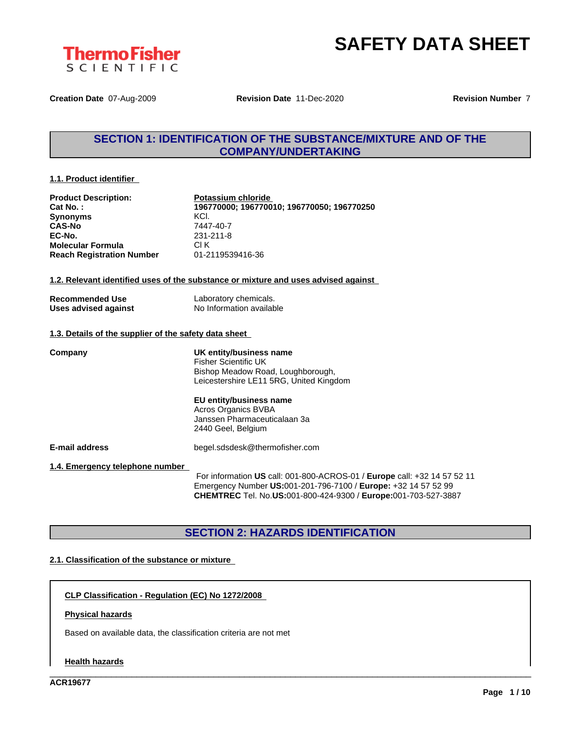



**Creation Date** 07-Aug-2009 **Revision Date** 11-Dec-2020 **Revision Number** 7

### **SECTION 1: IDENTIFICATION OF THE SUBSTANCE/MIXTURE AND OF THE COMPANY/UNDERTAKING**

#### **1.1. Product identifier**

| <b>Product Description:</b>                           | Potassium chloride                                                                 |
|-------------------------------------------------------|------------------------------------------------------------------------------------|
| Cat No.:                                              | 196770000; 196770010; 196770050; 196770250                                         |
| <b>Synonyms</b>                                       | KCI.                                                                               |
| <b>CAS-No</b>                                         | 7447-40-7                                                                          |
| EC-No.                                                | 231-211-8                                                                          |
| <b>Molecular Formula</b>                              | CI K                                                                               |
| <b>Reach Registration Number</b>                      | 01-2119539416-36                                                                   |
|                                                       | 1.2. Relevant identified uses of the substance or mixture and uses advised against |
| <b>Recommended Use</b>                                | Laboratory chemicals.                                                              |
| <b>Uses advised against</b>                           | No Information available                                                           |
| 1.3. Details of the supplier of the safety data sheet |                                                                                    |
| Company                                               | UK entity/business name                                                            |
|                                                       | <b>Fisher Scientific UK</b>                                                        |
|                                                       | Bishop Meadow Road, Loughborough,                                                  |
|                                                       | Leicestershire LE11 5RG, United Kingdom                                            |
|                                                       | EU entity/business name                                                            |
|                                                       | Acros Organics BVBA                                                                |
|                                                       | Janssen Pharmaceuticalaan 3a                                                       |
|                                                       | 2440 Geel, Belgium                                                                 |
| <b>E-mail address</b>                                 | begel.sdsdesk@thermofisher.com                                                     |
| 1.4. Emergency telephone number                       |                                                                                    |
|                                                       | For information US call: 001-800-ACROS-01 / Europe call: +32 14 57 52 11           |
|                                                       | Emergency Number US:001-201-796-7100 / Europe: +32 14 57 52 99                     |
|                                                       | CHEMTREC Tel. No.US:001-800-424-9300 / Europe:001-703-527-3887                     |

### **SECTION 2: HAZARDS IDENTIFICATION**

\_\_\_\_\_\_\_\_\_\_\_\_\_\_\_\_\_\_\_\_\_\_\_\_\_\_\_\_\_\_\_\_\_\_\_\_\_\_\_\_\_\_\_\_\_\_\_\_\_\_\_\_\_\_\_\_\_\_\_\_\_\_\_\_\_\_\_\_\_\_\_\_\_\_\_\_\_\_\_\_\_\_\_\_\_\_\_\_\_\_\_\_\_\_

#### **2.1. Classification of the substance or mixture**

**CLP Classification - Regulation (EC) No 1272/2008**

#### **Physical hazards**

Based on available data, the classification criteria are not met

#### **Health hazards**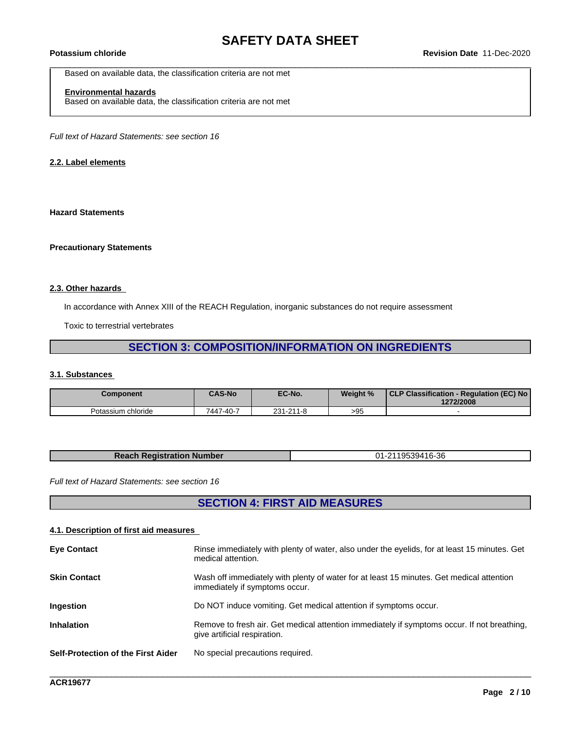Based on available data, the classification criteria are not met

### **Environmental hazards**

Based on available data, the classification criteria are not met

*Full text of Hazard Statements: see section 16*

#### **2.2. Label elements**

#### **Hazard Statements**

#### **Precautionary Statements**

#### **2.3. Other hazards**

In accordance with Annex XIII of the REACH Regulation, inorganic substances do not require assessment

Toxic to terrestrial vertebrates

### **SECTION 3: COMPOSITION/INFORMATION ON INGREDIENTS**

#### **3.1. Substances**

| <b>Component</b>   | <b>CAS-No</b> | EC-No.    | Weight % | CLP Classification - Regulation (EC) No<br>1272/2008 |
|--------------------|---------------|-----------|----------|------------------------------------------------------|
| Potassium chloride | 7447-40-7     | 231-211-8 | >95      |                                                      |

| $6 - 36$<br>umber<br>ч |
|------------------------|
|------------------------|

*Full text of Hazard Statements: see section 16*

### **SECTION 4: FIRST AID MEASURES**

#### **4.1. Description of first aid measures**

| medical attention.                                                                                                                                |
|---------------------------------------------------------------------------------------------------------------------------------------------------|
| Wash off immediately with plenty of water for at least 15 minutes. Get medical attention<br><b>Skin Contact</b><br>immediately if symptoms occur. |
| Do NOT induce vomiting. Get medical attention if symptoms occur.<br>Ingestion                                                                     |
| <b>Inhalation</b><br>Remove to fresh air. Get medical attention immediately if symptoms occur. If not breathing,<br>give artificial respiration.  |
| Self-Protection of the First Aider<br>No special precautions required.                                                                            |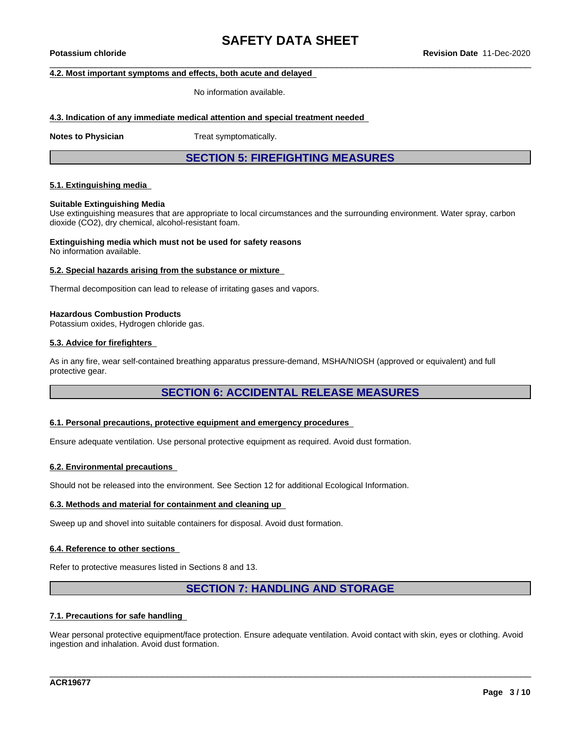#### **4.2. Most important symptoms and effects, both acute and delayed**

No information available.

#### **4.3. Indication of any immediate medical attention and special treatment needed**

**Notes to Physician** Treat symptomatically.

**SECTION 5: FIREFIGHTING MEASURES**

#### **5.1. Extinguishing media**

#### **Suitable Extinguishing Media**

Use extinguishing measures that are appropriate to local circumstances and the surrounding environment. Water spray, carbon dioxide (CO2), dry chemical, alcohol-resistant foam.

### **Extinguishing media which must not be used for safety reasons**

No information available.

#### **5.2. Special hazards arising from the substance or mixture**

Thermal decomposition can lead to release of irritating gases and vapors.

#### **Hazardous Combustion Products**

Potassium oxides, Hydrogen chloride gas.

#### **5.3. Advice for firefighters**

As in any fire, wear self-contained breathing apparatus pressure-demand, MSHA/NIOSH (approved or equivalent) and full protective gear.

### **SECTION 6: ACCIDENTAL RELEASE MEASURES**

#### **6.1. Personal precautions, protective equipment and emergency procedures**

Ensure adequate ventilation. Use personal protective equipment as required. Avoid dust formation.

#### **6.2. Environmental precautions**

Should not be released into the environment. See Section 12 for additional Ecological Information.

#### **6.3. Methods and material for containment and cleaning up**

Sweep up and shovel into suitable containers for disposal. Avoid dust formation.

#### **6.4. Reference to other sections**

Refer to protective measures listed in Sections 8 and 13.

### **SECTION 7: HANDLING AND STORAGE**

#### **7.1. Precautions for safe handling**

Wear personal protective equipment/face protection. Ensure adequate ventilation. Avoid contact with skin, eyes or clothing. Avoid ingestion and inhalation. Avoid dust formation.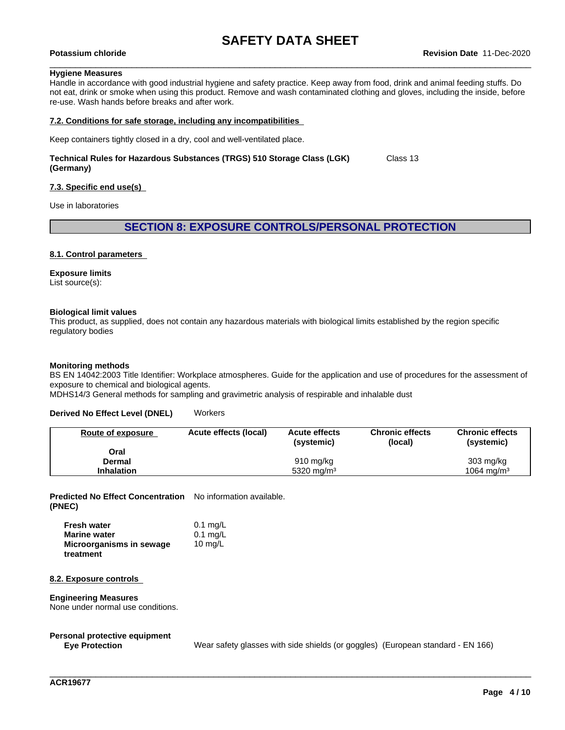#### **Hygiene Measures**

Handle in accordance with good industrial hygiene and safety practice. Keep away from food, drink and animal feeding stuffs. Do not eat, drink or smoke when using this product. Remove and wash contaminated clothing and gloves, including the inside, before re-use. Wash hands before breaks and after work.

#### **7.2. Conditions for safe storage, including any incompatibilities**

Keep containers tightly closed in a dry, cool and well-ventilated place.

#### **Technical Rules for Hazardous Substances (TRGS) 510 Storage Class (LGK) (Germany)** Class 13

#### **7.3. Specific end use(s)**

Use in laboratories

#### **SECTION 8: EXPOSURE CONTROLS/PERSONAL PROTECTION**

#### **8.1. Control parameters**

#### **Exposure limits**

List source(s):

#### **Biological limit values**

This product, as supplied, does not contain any hazardous materials with biological limits established by the region specific regulatory bodies

#### **Monitoring methods**

BS EN 14042:2003 Title Identifier: Workplace atmospheres. Guide for the application and use of procedures for the assessment of exposure to chemical and biological agents.

MDHS14/3 General methods for sampling and gravimetric analysis of respirable and inhalable dust

#### **Derived No Effect Level (DNEL)** Workers

| Route of exposure | Acute effects (local) | <b>Acute effects</b><br>(systemic) | <b>Chronic effects</b><br>(local) | <b>Chronic effects</b><br>(systemic) |
|-------------------|-----------------------|------------------------------------|-----------------------------------|--------------------------------------|
| Oral              |                       |                                    |                                   |                                      |
| Dermal            |                       | 910 mg/kg                          |                                   | $303 \text{ mg/kg}$                  |
| <b>Inhalation</b> |                       | 5320 mg/m <sup>3</sup>             |                                   | $1064 \text{ ma/m}^3$                |

**Predicted No Effect Concentration** No information available. **(PNEC)**

| <b>Fresh water</b>       | $0.1$ mg/L |
|--------------------------|------------|
| <b>Marine water</b>      | $0.1$ mg/L |
| Microorganisms in sewage | 10 $mq/L$  |
| treatment                |            |

#### **8.2. Exposure controls**

#### **Engineering Measures**

None under normal use conditions.

## **Personal protective equipment**

Wear safety glasses with side shields (or goggles) (European standard - EN 166)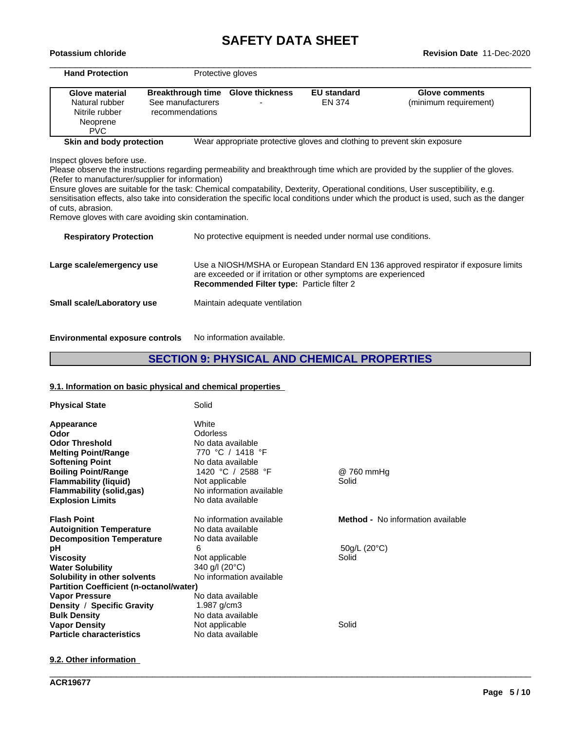# **SAFETY DATA SHEET**<br>Revision Date 11-Dec-2020

| Potassium chloride                                                                                                             |                          |                                            |                                                                          | Revision Date 11-Dec-2020                                                                                                                                                                                                                                                                                                                                                                                |  |
|--------------------------------------------------------------------------------------------------------------------------------|--------------------------|--------------------------------------------|--------------------------------------------------------------------------|----------------------------------------------------------------------------------------------------------------------------------------------------------------------------------------------------------------------------------------------------------------------------------------------------------------------------------------------------------------------------------------------------------|--|
| <b>Hand Protection</b>                                                                                                         |                          | Protective gloves                          |                                                                          |                                                                                                                                                                                                                                                                                                                                                                                                          |  |
| Glove material                                                                                                                 | <b>Breakthrough time</b> | <b>Glove thickness</b>                     | <b>EU</b> standard                                                       | <b>Glove comments</b>                                                                                                                                                                                                                                                                                                                                                                                    |  |
| Natural rubber                                                                                                                 | See manufacturers        |                                            | EN 374                                                                   | (minimum requirement)                                                                                                                                                                                                                                                                                                                                                                                    |  |
| Nitrile rubber                                                                                                                 | recommendations          |                                            |                                                                          |                                                                                                                                                                                                                                                                                                                                                                                                          |  |
| Neoprene<br><b>PVC</b>                                                                                                         |                          |                                            |                                                                          |                                                                                                                                                                                                                                                                                                                                                                                                          |  |
| Skin and body protection                                                                                                       |                          |                                            | Wear appropriate protective gloves and clothing to prevent skin exposure |                                                                                                                                                                                                                                                                                                                                                                                                          |  |
| (Refer to manufacturer/supplier for information)<br>of cuts, abrasion.<br>Remove gloves with care avoiding skin contamination. |                          |                                            |                                                                          | Please observe the instructions regarding permeability and breakthrough time which are provided by the supplier of the gloves.<br>Ensure gloves are suitable for the task: Chemical compatability, Dexterity, Operational conditions, User susceptibility, e.g.<br>sensitisation effects, also take into consideration the specific local conditions under which the product is used, such as the danger |  |
| <b>Respiratory Protection</b>                                                                                                  |                          |                                            | No protective equipment is needed under normal use conditions.           |                                                                                                                                                                                                                                                                                                                                                                                                          |  |
| Large scale/emergency use                                                                                                      |                          | Recommended Filter type: Particle filter 2 | are exceeded or if irritation or other symptoms are experienced          | Use a NIOSH/MSHA or European Standard EN 136 approved respirator if exposure limits                                                                                                                                                                                                                                                                                                                      |  |
| Small scale/Laboratory use                                                                                                     |                          | Maintain adequate ventilation              |                                                                          |                                                                                                                                                                                                                                                                                                                                                                                                          |  |
|                                                                                                                                |                          |                                            |                                                                          |                                                                                                                                                                                                                                                                                                                                                                                                          |  |

**Environmental exposure controls** No information available.

### **SECTION 9: PHYSICAL AND CHEMICAL PROPERTIES**

\_\_\_\_\_\_\_\_\_\_\_\_\_\_\_\_\_\_\_\_\_\_\_\_\_\_\_\_\_\_\_\_\_\_\_\_\_\_\_\_\_\_\_\_\_\_\_\_\_\_\_\_\_\_\_\_\_\_\_\_\_\_\_\_\_\_\_\_\_\_\_\_\_\_\_\_\_\_\_\_\_\_\_\_\_\_\_\_\_\_\_\_\_\_

### **9.1. Information on basic physical and chemical properties**

| <b>Physical State</b>                                                                                                                                                                         | Solid                                                                                                                                                     |                                          |
|-----------------------------------------------------------------------------------------------------------------------------------------------------------------------------------------------|-----------------------------------------------------------------------------------------------------------------------------------------------------------|------------------------------------------|
| Appearance<br>Odor<br><b>Odor Threshold</b><br><b>Melting Point/Range</b><br><b>Softening Point</b><br><b>Boiling Point/Range</b><br><b>Flammability (liquid)</b><br>Flammability (solid,gas) | White<br><b>Odorless</b><br>No data available<br>770 °C / 1418 °F<br>No data available<br>1420 °C / 2588 °F<br>Not applicable<br>No information available | @ 760 mmHg<br>Solid                      |
| <b>Explosion Limits</b>                                                                                                                                                                       | No data available                                                                                                                                         |                                          |
| <b>Flash Point</b><br><b>Autoignition Temperature</b><br><b>Decomposition Temperature</b>                                                                                                     | No information available<br>No data available<br>No data available                                                                                        | <b>Method -</b> No information available |
| рH                                                                                                                                                                                            | 6                                                                                                                                                         | 50g/L (20°C)                             |
| <b>Viscosity</b><br><b>Water Solubility</b><br>Solubility in other solvents                                                                                                                   | Not applicable<br>340 g/l (20°C)<br>No information available                                                                                              | Solid                                    |
| <b>Partition Coefficient (n-octanol/water)</b>                                                                                                                                                |                                                                                                                                                           |                                          |
| <b>Vapor Pressure</b>                                                                                                                                                                         | No data available                                                                                                                                         |                                          |
| Density / Specific Gravity<br><b>Bulk Density</b>                                                                                                                                             | 1.987 $g/cm3$<br>No data available                                                                                                                        |                                          |
| <b>Vapor Density</b>                                                                                                                                                                          | Not applicable                                                                                                                                            | Solid                                    |
| <b>Particle characteristics</b>                                                                                                                                                               | No data available                                                                                                                                         |                                          |

**9.2. Other information**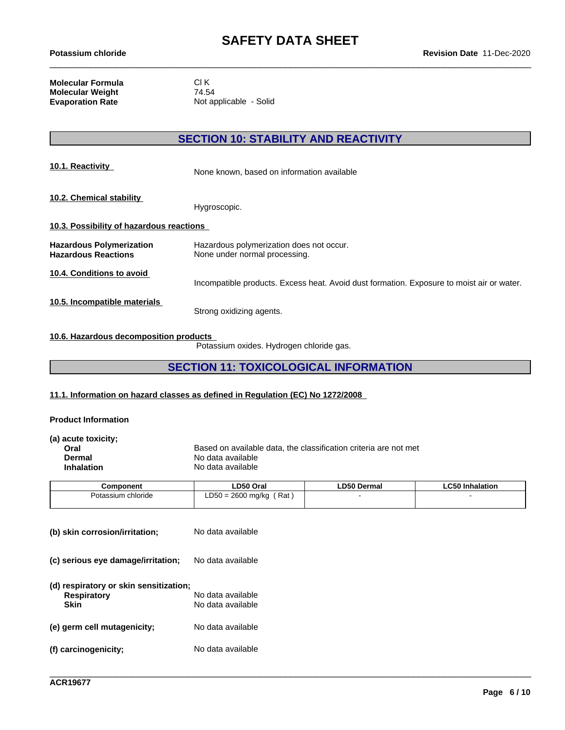**Molecular Formula** Cl K<br> **Molecular Weight** 74.54 **Molecular Weight<br>Evaporation Rate** 

**Not applicable - Solid** 

### **SECTION 10: STABILITY AND REACTIVITY**

| 10.1. Reactivity                                              | None known, based on information available                                                |
|---------------------------------------------------------------|-------------------------------------------------------------------------------------------|
| 10.2. Chemical stability                                      | Hygroscopic.                                                                              |
| 10.3. Possibility of hazardous reactions                      |                                                                                           |
| <b>Hazardous Polymerization</b><br><b>Hazardous Reactions</b> | Hazardous polymerization does not occur.<br>None under normal processing.                 |
| 10.4. Conditions to avoid                                     | Incompatible products. Excess heat. Avoid dust formation. Exposure to moist air or water. |
| 10.5. Incompatible materials                                  | Strong oxidizing agents.                                                                  |

#### **10.6. Hazardous decomposition products**

Potassium oxides. Hydrogen chloride gas.

### **SECTION 11: TOXICOLOGICAL INFORMATION**

#### **11.1. Information on hazard classes as defined in Regulation (EC) No 1272/2008**

#### **Product Information**

| (a) acute toxicity; |                                                                  |
|---------------------|------------------------------------------------------------------|
| Oral                | Based on available data, the classification criteria are not met |
| Dermal              | No data available                                                |
| <b>Inhalation</b>   | No data available                                                |
|                     |                                                                  |

| Component          | LD50 Oral                                | <b>LD50 Dermal</b> | <b>LC50 Inhalation</b> |
|--------------------|------------------------------------------|--------------------|------------------------|
| Potassium chloride | Rat<br>0 = 2600 ma/ka<br>$R - C$<br>∟ບບບ |                    |                        |
|                    |                                          |                    |                        |

| (b) skin corrosion/irritation;                                       | No data available                      |
|----------------------------------------------------------------------|----------------------------------------|
| (c) serious eye damage/irritation;                                   | No data available                      |
| (d) respiratory or skin sensitization;<br><b>Respiratory</b><br>Skin | No data available<br>No data available |
| (e) germ cell mutagenicity;                                          | No data available                      |
| (f) carcinogenicity;                                                 | No data available                      |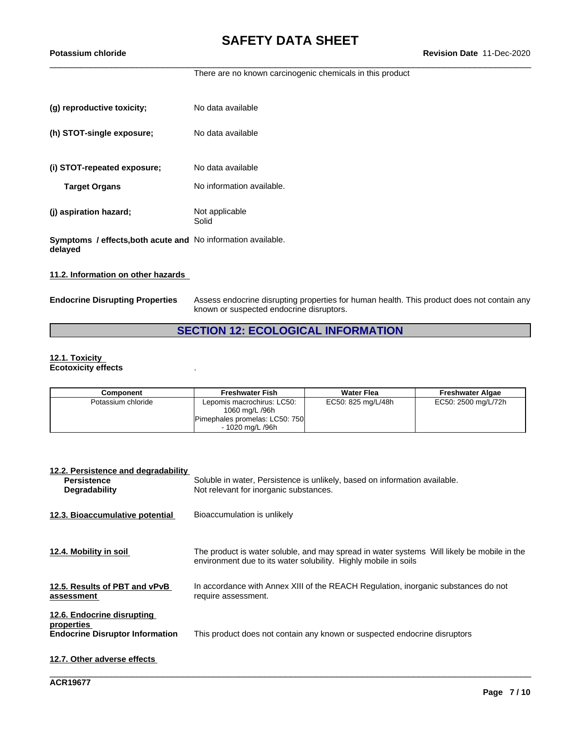There are no known carcinogenic chemicals in this product

| (g) reproductive toxicity;                                                     | No data available         |
|--------------------------------------------------------------------------------|---------------------------|
| (h) STOT-single exposure;                                                      | No data available         |
| (i) STOT-repeated exposure;                                                    | No data available         |
| <b>Target Organs</b>                                                           | No information available. |
| (j) aspiration hazard;                                                         | Not applicable<br>Solid   |
| <b>Symptoms / effects, both acute and No information available.</b><br>delayed |                           |

#### **11.2. Information on other hazards**

**Endocrine Disrupting Properties** Assess endocrine disrupting properties for human health. This product does not contain any known or suspected endocrine disruptors.

### **SECTION 12: ECOLOGICAL INFORMATION**

#### **12.1. Toxicity Ecotoxicity effects** .

| Component          | <b>Freshwater Fish</b>                                                                             | <b>Water Flea</b>  | <b>Freshwater Algae</b> |
|--------------------|----------------------------------------------------------------------------------------------------|--------------------|-------------------------|
| Potassium chloride | Lepomis macrochirus: LC50:<br>1060 mg/L /96h<br>Pimephales promelas: LC50: 750<br>- 1020 ma/L /96h | EC50: 825 mg/L/48h | EC50: 2500 mg/L/72h     |

| 12.2. Persistence and degradability<br><b>Persistence</b><br><b>Degradability</b>  | Soluble in water, Persistence is unlikely, based on information available.<br>Not relevant for inorganic substances.                                          |
|------------------------------------------------------------------------------------|---------------------------------------------------------------------------------------------------------------------------------------------------------------|
| 12.3. Bioaccumulative potential                                                    | Bioaccumulation is unlikely                                                                                                                                   |
| 12.4. Mobility in soil                                                             | The product is water soluble, and may spread in water systems Will likely be mobile in the<br>environment due to its water solubility. Highly mobile in soils |
| 12.5. Results of PBT and vPvB<br>assessment                                        | In accordance with Annex XIII of the REACH Regulation, inorganic substances do not<br>require assessment.                                                     |
| 12.6. Endocrine disrupting<br>properties<br><b>Endocrine Disruptor Information</b> | This product does not contain any known or suspected endocrine disruptors                                                                                     |
| 12.7. Other adverse effects                                                        |                                                                                                                                                               |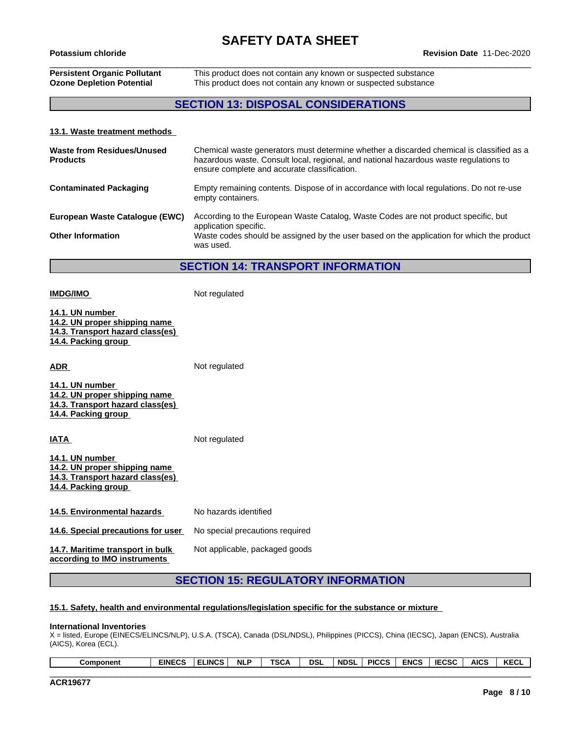### **Persistent Organic Pollutant** This product does not contain any known or suspected substance **Ozone Depletion Potential** This product does not contain any known or suspected substance

### **SECTION 13: DISPOSAL CONSIDERATIONS**

#### **13.1. Waste treatment methods**

| Waste from Residues/Unused<br><b>Products</b> | Chemical waste generators must determine whether a discarded chemical is classified as a<br>hazardous waste. Consult local, regional, and national hazardous waste regulations to<br>ensure complete and accurate classification. |
|-----------------------------------------------|-----------------------------------------------------------------------------------------------------------------------------------------------------------------------------------------------------------------------------------|
| <b>Contaminated Packaging</b>                 | Empty remaining contents. Dispose of in accordance with local regulations. Do not re-use<br>empty containers.                                                                                                                     |
| European Waste Catalogue (EWC)                | According to the European Waste Catalog, Waste Codes are not product specific, but<br>application specific.                                                                                                                       |
| <b>Other Information</b>                      | Waste codes should be assigned by the user based on the application for which the product<br>was used.                                                                                                                            |

#### **SECTION 14: TRANSPORT INFORMATION**

**IMDG/IMO** Not regulated **14.1. UN number 14.2. UN proper shipping name 14.3. Transport hazard class(es) 14.4. Packing group ADR** Not regulated **14.1. UN number 14.2. UN proper shipping name 14.3. Transport hazard class(es) 14.4. Packing group IATA** Not regulated **14.1. UN number 14.2. UN proper shipping name 14.3. Transport hazard class(es) 14.4. Packing group 14.5. Environmental hazards** No hazards identified **14.6. Special precautions for user** No special precautions required Not applicable, packaged goods

**14.7. Maritime transport in bulk according to IMO instruments**

## **SECTION 15: REGULATORY INFORMATION**

#### **15.1. Safety, health and environmental regulations/legislation specific for the substance or mixture**

#### **International Inventories**

X = listed, Europe (EINECS/ELINCS/NLP), U.S.A. (TSCA), Canada (DSL/NDSL), Philippines (PICCS), China (IECSC), Japan (ENCS), Australia (AICS), Korea (ECL).

| KECL<br><b>AICS</b><br>5000<br><b>ENCS</b><br><b>PICCS</b><br><br>wal | ' NDSL | <b>DSL</b> | TCC.<br>יש | <b>NLP</b> | $\cdots$<br>∟INCS. | <b>EINECS</b><br>نس۔ | Component |
|-----------------------------------------------------------------------|--------|------------|------------|------------|--------------------|----------------------|-----------|
|-----------------------------------------------------------------------|--------|------------|------------|------------|--------------------|----------------------|-----------|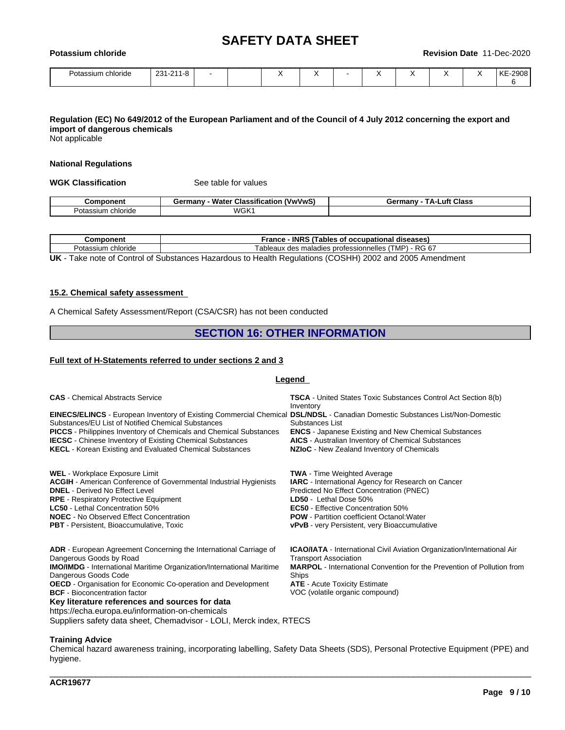| Potassium chloride |           |  |   |  | Revision Date | - 11- L | Dec-2020 |
|--------------------|-----------|--|---|--|---------------|---------|----------|
| Potassium chloride | 231-211-8 |  | ↗ |  | ↗             |         | KE-2908  |

### Regulation (EC) No 649/2012 of the European Parliament and of the Council of 4 July 2012 concerning the export and **import of dangerous chemicals**

Not applicable

#### **National Regulations**

**WGK Classification** See table for values

|                          | ---<br><b>Wate</b><br>$\mathbf{r}$<br><b>rmany</b><br>้ V พ/V พ/<br>⊶uassitic<br>.catio <sup>.</sup> | _uft<br><b>Class</b><br>≟armanv<br>JО |
|--------------------------|------------------------------------------------------------------------------------------------------|---------------------------------------|
| ⊃ota<br>$\sim$<br>сполов | WGK                                                                                                  |                                       |

| `omponent<br>⊸omb     | <b>INRS</b><br>Trance<br>occupation<br>diseases<br>rables                                                                        |
|-----------------------|----------------------------------------------------------------------------------------------------------------------------------|
| chloride<br>Potassiun | RG<br>$\cdot$ $\sim$<br>√ MP∖<br>nelles<br>ab<br>leaux<br>maladies professionne<br>des<br>. .<br>טי.<br>$\overline{\phantom{a}}$ |
| ___<br>__             | ____                                                                                                                             |

**UK** - Take note of Control of Substances Hazardous to Health Regulations (COSHH) 2002 and 2005 Amendment

#### **15.2. Chemical safety assessment**

A Chemical Safety Assessment/Report (CSA/CSR) has not been conducted

#### **SECTION 16: OTHER INFORMATION**

#### **Full text of H-Statements referred to undersections 2 and 3**

#### **Legend**

| <b>CAS</b> - Chemical Abstracts Service                                                                                                                                                                                                                                                                                                                                                                                          | <b>TSCA</b> - United States Toxic Substances Control Act Section 8(b)<br>Inventory                                                                                                                                                                                                                                             |
|----------------------------------------------------------------------------------------------------------------------------------------------------------------------------------------------------------------------------------------------------------------------------------------------------------------------------------------------------------------------------------------------------------------------------------|--------------------------------------------------------------------------------------------------------------------------------------------------------------------------------------------------------------------------------------------------------------------------------------------------------------------------------|
| <b>EINECS/ELINCS</b> - European Inventory of Existing Commercial Chemical DSL/NDSL - Canadian Domestic Substances List/Non-Domestic<br>Substances/EU List of Notified Chemical Substances<br><b>PICCS</b> - Philippines Inventory of Chemicals and Chemical Substances<br><b>IECSC</b> - Chinese Inventory of Existing Chemical Substances<br><b>KECL</b> - Korean Existing and Evaluated Chemical Substances                    | Substances List<br><b>ENCS</b> - Japanese Existing and New Chemical Substances<br><b>AICS</b> - Australian Inventory of Chemical Substances<br>NZIoC - New Zealand Inventory of Chemicals                                                                                                                                      |
| WEL - Workplace Exposure Limit<br><b>ACGIH</b> - American Conference of Governmental Industrial Hygienists<br><b>DNEL</b> - Derived No Effect Level<br><b>RPE</b> - Respiratory Protective Equipment<br><b>LC50</b> - Lethal Concentration 50%<br><b>NOEC</b> - No Observed Effect Concentration<br><b>PBT</b> - Persistent, Bioaccumulative, Toxic                                                                              | <b>TWA</b> - Time Weighted Average<br><b>IARC</b> - International Agency for Research on Cancer<br>Predicted No Effect Concentration (PNEC)<br>LD50 - Lethal Dose 50%<br><b>EC50</b> - Effective Concentration 50%<br><b>POW</b> - Partition coefficient Octanol: Water<br><b>vPvB</b> - very Persistent, very Bioaccumulative |
| <b>ADR</b> - European Agreement Concerning the International Carriage of<br>Dangerous Goods by Road<br><b>IMO/IMDG</b> - International Maritime Organization/International Maritime<br>Dangerous Goods Code<br><b>OECD</b> - Organisation for Economic Co-operation and Development<br><b>BCF</b> - Bioconcentration factor<br>Key literature references and sources for data<br>https://echa.europa.eu/information-on-chemicals | <b>ICAO/IATA</b> - International Civil Aviation Organization/International Air<br><b>Transport Association</b><br><b>MARPOL</b> - International Convention for the Prevention of Pollution from<br>Ships<br><b>ATE</b> - Acute Toxicity Estimate<br>VOC (volatile organic compound)                                            |

Suppliers safety data sheet, Chemadvisor - LOLI, Merck index, RTECS

#### **Training Advice**

Chemical hazard awareness training, incorporating labelling, Safety Data Sheets (SDS), Personal Protective Equipment (PPE) and hygiene.